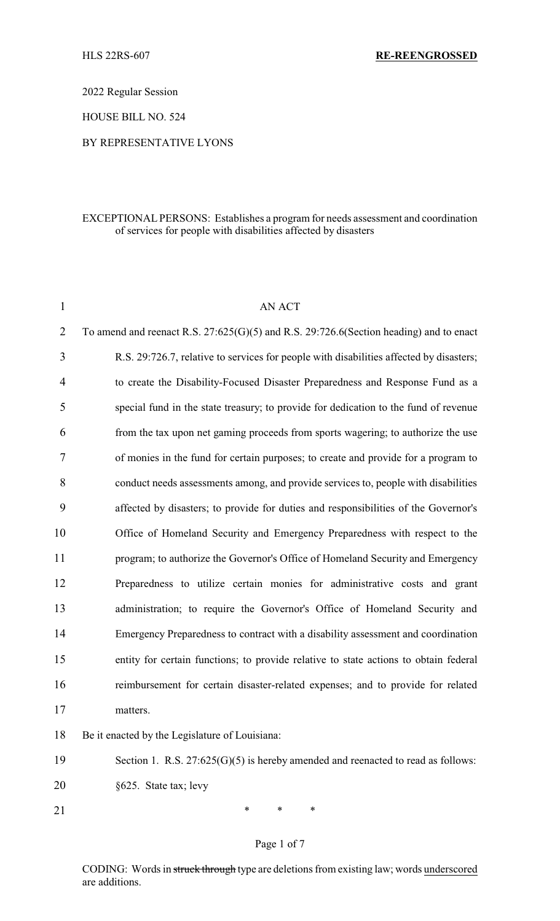2022 Regular Session

HOUSE BILL NO. 524

### BY REPRESENTATIVE LYONS

### EXCEPTIONAL PERSONS: Establishes a program for needs assessment and coordination of services for people with disabilities affected by disasters

| $\mathbf{1}$   | <b>AN ACT</b>                                                                               |  |
|----------------|---------------------------------------------------------------------------------------------|--|
| $\overline{2}$ | To amend and reenact R.S. $27:625(G)(5)$ and R.S. $29:726.6$ (Section heading) and to enact |  |
| 3              | R.S. 29:726.7, relative to services for people with disabilities affected by disasters;     |  |
| $\overline{4}$ | to create the Disability-Focused Disaster Preparedness and Response Fund as a               |  |
| 5              | special fund in the state treasury; to provide for dedication to the fund of revenue        |  |
| 6              | from the tax upon net gaming proceeds from sports wagering; to authorize the use            |  |
| 7              | of monies in the fund for certain purposes; to create and provide for a program to          |  |
| 8              | conduct needs assessments among, and provide services to, people with disabilities          |  |
| 9              | affected by disasters; to provide for duties and responsibilities of the Governor's         |  |
| 10             | Office of Homeland Security and Emergency Preparedness with respect to the                  |  |
| 11             | program; to authorize the Governor's Office of Homeland Security and Emergency              |  |
| 12             | Preparedness to utilize certain monies for administrative costs and grant                   |  |
| 13             | administration; to require the Governor's Office of Homeland Security and                   |  |
| 14             | Emergency Preparedness to contract with a disability assessment and coordination            |  |
| 15             | entity for certain functions; to provide relative to state actions to obtain federal        |  |
| 16             | reimbursement for certain disaster-related expenses; and to provide for related             |  |
| 17             | matters.                                                                                    |  |
| 18             | Be it enacted by the Legislature of Louisiana:                                              |  |
| 19             | Section 1. R.S. $27:625(G)(5)$ is hereby amended and reenacted to read as follows:          |  |

20 §625. State tax; levy

21 \* \* \* \*

# Page 1 of 7

CODING: Words in struck through type are deletions from existing law; words underscored are additions.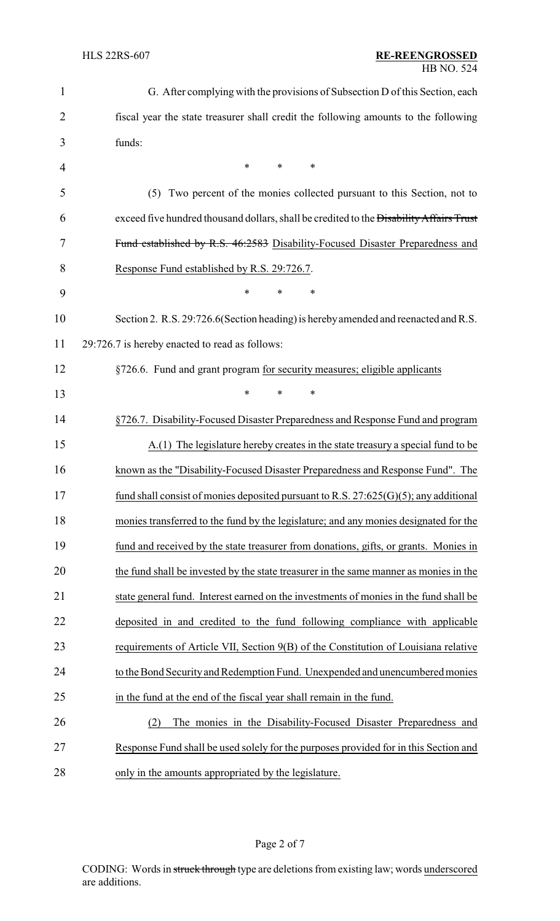| $\mathbf{1}$   | G. After complying with the provisions of Subsection D of this Section, each            |  |  |
|----------------|-----------------------------------------------------------------------------------------|--|--|
| $\overline{2}$ | fiscal year the state treasurer shall credit the following amounts to the following     |  |  |
| 3              | funds:                                                                                  |  |  |
| 4              | ∗<br>$\ast$<br>*                                                                        |  |  |
| 5              | Two percent of the monies collected pursuant to this Section, not to<br>(5)             |  |  |
| 6              | exceed five hundred thousand dollars, shall be credited to the Disability Affairs Trust |  |  |
| 7              | Fund established by R.S. 46:2583 Disability-Focused Disaster Preparedness and           |  |  |
| 8              | Response Fund established by R.S. 29:726.7.                                             |  |  |
| 9              | ∗<br>$\ast$<br>∗                                                                        |  |  |
| 10             | Section 2. R.S. 29:726.6 (Section heading) is hereby amended and reenacted and R.S.     |  |  |
| 11             | 29:726.7 is hereby enacted to read as follows:                                          |  |  |
| 12             | §726.6. Fund and grant program for security measures; eligible applicants               |  |  |
| 13             | $\ast$<br>*<br>$\ast$                                                                   |  |  |
| 14             | §726.7. Disability-Focused Disaster Preparedness and Response Fund and program          |  |  |
| 15             | A.(1) The legislature hereby creates in the state treasury a special fund to be         |  |  |
| 16             | known as the "Disability-Focused Disaster Preparedness and Response Fund". The          |  |  |
| 17             | fund shall consist of monies deposited pursuant to R.S. $27:625(G)(5)$ ; any additional |  |  |
| 18             | monies transferred to the fund by the legislature; and any monies designated for the    |  |  |
| 19             | fund and received by the state treasurer from donations, gifts, or grants. Monies in    |  |  |
| 20             | the fund shall be invested by the state treasurer in the same manner as monies in the   |  |  |
| 21             | state general fund. Interest earned on the investments of monies in the fund shall be   |  |  |
| 22             | deposited in and credited to the fund following compliance with applicable              |  |  |
| 23             | requirements of Article VII, Section 9(B) of the Constitution of Louisiana relative     |  |  |
| 24             | to the Bond Security and Redemption Fund. Unexpended and unencumbered monies            |  |  |
| 25             | in the fund at the end of the fiscal year shall remain in the fund.                     |  |  |
| 26             | The monies in the Disability-Focused Disaster Preparedness and<br>(2)                   |  |  |
| 27             | Response Fund shall be used solely for the purposes provided for in this Section and    |  |  |
| 28             | only in the amounts appropriated by the legislature.                                    |  |  |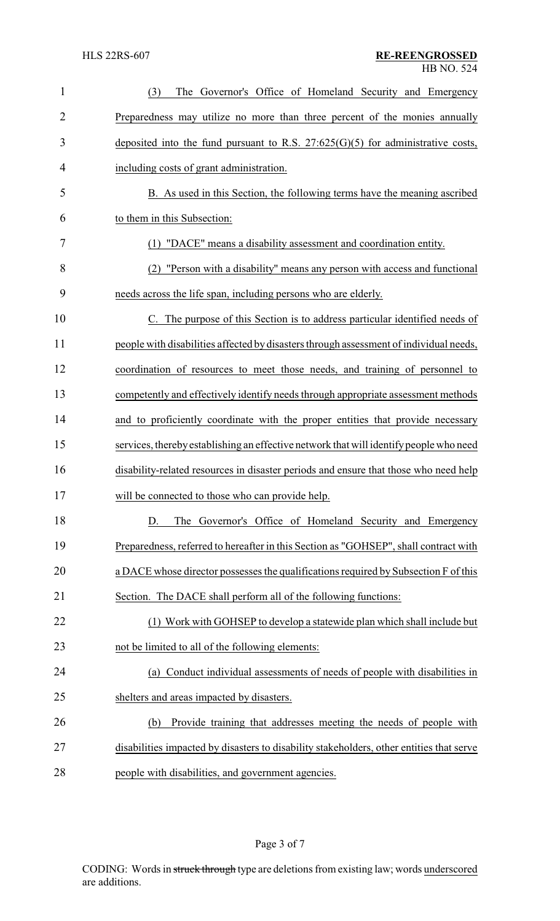| 1              | The Governor's Office of Homeland Security and Emergency<br>(3)                          |  |  |
|----------------|------------------------------------------------------------------------------------------|--|--|
| $\overline{2}$ | Preparedness may utilize no more than three percent of the monies annually               |  |  |
| 3              | deposited into the fund pursuant to R.S. $27:625(G)(5)$ for administrative costs,        |  |  |
| 4              | including costs of grant administration.                                                 |  |  |
| 5              | B. As used in this Section, the following terms have the meaning ascribed                |  |  |
| 6              | to them in this Subsection:                                                              |  |  |
| 7              | (1) "DACE" means a disability assessment and coordination entity.                        |  |  |
| 8              | (2) "Person with a disability" means any person with access and functional               |  |  |
| 9              | needs across the life span, including persons who are elderly.                           |  |  |
| 10             | C. The purpose of this Section is to address particular identified needs of              |  |  |
| 11             | people with disabilities affected by disasters through assessment of individual needs,   |  |  |
| 12             | coordination of resources to meet those needs, and training of personnel to              |  |  |
| 13             | competently and effectively identify needs through appropriate assessment methods        |  |  |
| 14             | and to proficiently coordinate with the proper entities that provide necessary           |  |  |
| 15             | services, thereby establishing an effective network that will identify people who need   |  |  |
| 16             | disability-related resources in disaster periods and ensure that those who need help     |  |  |
| 17             | will be connected to those who can provide help.                                         |  |  |
| 18             | The Governor's Office of Homeland Security and Emergency<br>D.                           |  |  |
| 19             | Preparedness, referred to hereafter in this Section as "GOHSEP", shall contract with     |  |  |
| 20             | a DACE whose director possesses the qualifications required by Subsection F of this      |  |  |
| 21             | Section. The DACE shall perform all of the following functions:                          |  |  |
| 22             | (1) Work with GOHSEP to develop a statewide plan which shall include but                 |  |  |
| 23             | not be limited to all of the following elements:                                         |  |  |
| 24             | (a) Conduct individual assessments of needs of people with disabilities in               |  |  |
| 25             | shelters and areas impacted by disasters.                                                |  |  |
| 26             | Provide training that addresses meeting the needs of people with<br>(b)                  |  |  |
| 27             | disabilities impacted by disasters to disability stakeholders, other entities that serve |  |  |
| 28             | people with disabilities, and government agencies.                                       |  |  |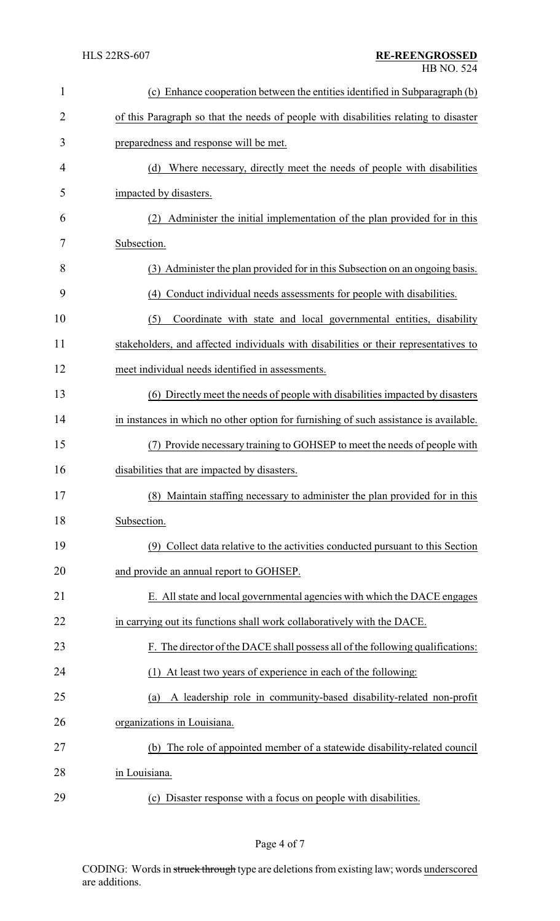| 1              | (c) Enhance cooperation between the entities identified in Subparagraph (b)           |  |
|----------------|---------------------------------------------------------------------------------------|--|
| $\overline{2}$ | of this Paragraph so that the needs of people with disabilities relating to disaster  |  |
| 3              | preparedness and response will be met.                                                |  |
| 4              | (d) Where necessary, directly meet the needs of people with disabilities              |  |
| 5              | impacted by disasters.                                                                |  |
| 6              | Administer the initial implementation of the plan provided for in this<br>(2)         |  |
| 7              | Subsection.                                                                           |  |
| 8              | (3) Administer the plan provided for in this Subsection on an ongoing basis.          |  |
| 9              | Conduct individual needs assessments for people with disabilities.<br>(4)             |  |
| 10             | (5)<br>Coordinate with state and local governmental entities, disability              |  |
| 11             | stakeholders, and affected individuals with disabilities or their representatives to  |  |
| 12             | meet individual needs identified in assessments.                                      |  |
| 13             | (6) Directly meet the needs of people with disabilities impacted by disasters         |  |
| 14             | in instances in which no other option for furnishing of such assistance is available. |  |
| 15             | Provide necessary training to GOHSEP to meet the needs of people with                 |  |
| 16             | disabilities that are impacted by disasters.                                          |  |
| 17             | (8) Maintain staffing necessary to administer the plan provided for in this           |  |
| 18             | Subsection.                                                                           |  |
| 19             | (9) Collect data relative to the activities conducted pursuant to this Section        |  |
| 20             | and provide an annual report to GOHSEP.                                               |  |
| 21             | E. All state and local governmental agencies with which the DACE engages              |  |
| 22             | in carrying out its functions shall work collaboratively with the DACE.               |  |
| 23             | F. The director of the DACE shall possess all of the following qualifications:        |  |
| 24             | (1) At least two years of experience in each of the following:                        |  |
| 25             | A leadership role in community-based disability-related non-profit<br>(a)             |  |
| 26             | organizations in Louisiana.                                                           |  |
| 27             | The role of appointed member of a statewide disability-related council<br>(b)         |  |
| 28             | in Louisiana.                                                                         |  |
| 29             | (c) Disaster response with a focus on people with disabilities.                       |  |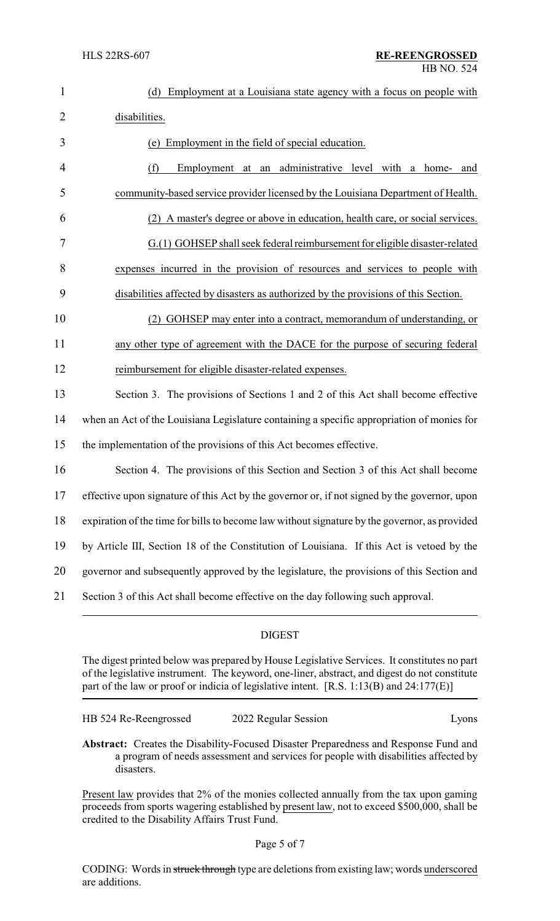| $\mathbf{1}$   | (d) Employment at a Louisiana state agency with a focus on people with                        |  |
|----------------|-----------------------------------------------------------------------------------------------|--|
| $\overline{2}$ | disabilities.                                                                                 |  |
| 3              | (e) Employment in the field of special education.                                             |  |
| 4              | Employment at an administrative level with a home-<br>(f)<br>and                              |  |
| 5              | community-based service provider licensed by the Louisiana Department of Health.              |  |
| 6              | A master's degree or above in education, health care, or social services.                     |  |
| 7              | G.(1) GOHSEP shall seek federal reimbursement for eligible disaster-related                   |  |
| 8              | expenses incurred in the provision of resources and services to people with                   |  |
| 9              | disabilities affected by disasters as authorized by the provisions of this Section.           |  |
| 10             | GOHSEP may enter into a contract, memorandum of understanding, or<br>(2)                      |  |
| 11             | any other type of agreement with the DACE for the purpose of securing federal                 |  |
| 12             | reimbursement for eligible disaster-related expenses.                                         |  |
| 13             | Section 3. The provisions of Sections 1 and 2 of this Act shall become effective              |  |
| 14             | when an Act of the Louisiana Legislature containing a specific appropriation of monies for    |  |
| 15             | the implementation of the provisions of this Act becomes effective.                           |  |
| 16             | Section 4. The provisions of this Section and Section 3 of this Act shall become              |  |
| 17             | effective upon signature of this Act by the governor or, if not signed by the governor, upon  |  |
| 18             | expiration of the time for bills to become law without signature by the governor, as provided |  |
| 19             | by Article III, Section 18 of the Constitution of Louisiana. If this Act is vetoed by the     |  |
| 20             | governor and subsequently approved by the legislature, the provisions of this Section and     |  |
| 21             | Section 3 of this Act shall become effective on the day following such approval.              |  |

### DIGEST

The digest printed below was prepared by House Legislative Services. It constitutes no part of the legislative instrument. The keyword, one-liner, abstract, and digest do not constitute part of the law or proof or indicia of legislative intent. [R.S. 1:13(B) and 24:177(E)]

| HB 524 Re-Reengrossed | 2022 Regular Session | Lyons |
|-----------------------|----------------------|-------|
|                       |                      |       |

**Abstract:** Creates the Disability-Focused Disaster Preparedness and Response Fund and a program of needs assessment and services for people with disabilities affected by disasters.

Present law provides that 2% of the monies collected annually from the tax upon gaming proceeds from sports wagering established by present law, not to exceed \$500,000, shall be credited to the Disability Affairs Trust Fund.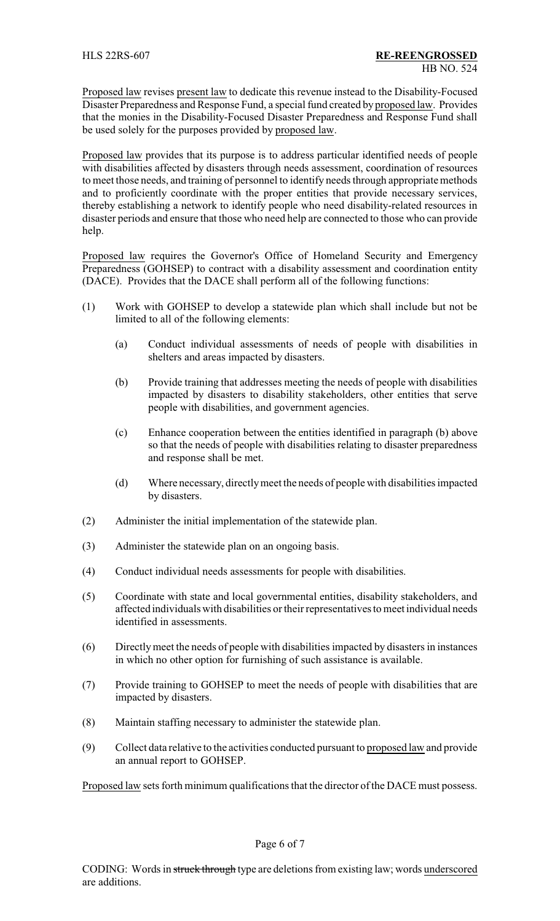Proposed law revises present law to dedicate this revenue instead to the Disability-Focused Disaster Preparedness and Response Fund, a special fund created by proposed law. Provides that the monies in the Disability-Focused Disaster Preparedness and Response Fund shall be used solely for the purposes provided by proposed law.

Proposed law provides that its purpose is to address particular identified needs of people with disabilities affected by disasters through needs assessment, coordination of resources to meet those needs, and training of personnel to identify needs through appropriate methods and to proficiently coordinate with the proper entities that provide necessary services, thereby establishing a network to identify people who need disability-related resources in disaster periods and ensure that those who need help are connected to those who can provide help.

Proposed law requires the Governor's Office of Homeland Security and Emergency Preparedness (GOHSEP) to contract with a disability assessment and coordination entity (DACE). Provides that the DACE shall perform all of the following functions:

- (1) Work with GOHSEP to develop a statewide plan which shall include but not be limited to all of the following elements:
	- (a) Conduct individual assessments of needs of people with disabilities in shelters and areas impacted by disasters.
	- (b) Provide training that addresses meeting the needs of people with disabilities impacted by disasters to disability stakeholders, other entities that serve people with disabilities, and government agencies.
	- (c) Enhance cooperation between the entities identified in paragraph (b) above so that the needs of people with disabilities relating to disaster preparedness and response shall be met.
	- (d) Where necessary, directlymeet the needs of people with disabilities impacted by disasters.
- (2) Administer the initial implementation of the statewide plan.
- (3) Administer the statewide plan on an ongoing basis.
- (4) Conduct individual needs assessments for people with disabilities.
- (5) Coordinate with state and local governmental entities, disability stakeholders, and affected individuals with disabilities or their representatives to meet individual needs identified in assessments.
- (6) Directlymeet the needs of people with disabilities impacted by disasters in instances in which no other option for furnishing of such assistance is available.
- (7) Provide training to GOHSEP to meet the needs of people with disabilities that are impacted by disasters.
- (8) Maintain staffing necessary to administer the statewide plan.
- (9) Collect data relative to the activities conducted pursuant to proposed law and provide an annual report to GOHSEP.

Proposed law sets forth minimum qualifications that the director of the DACE must possess.

Page 6 of 7